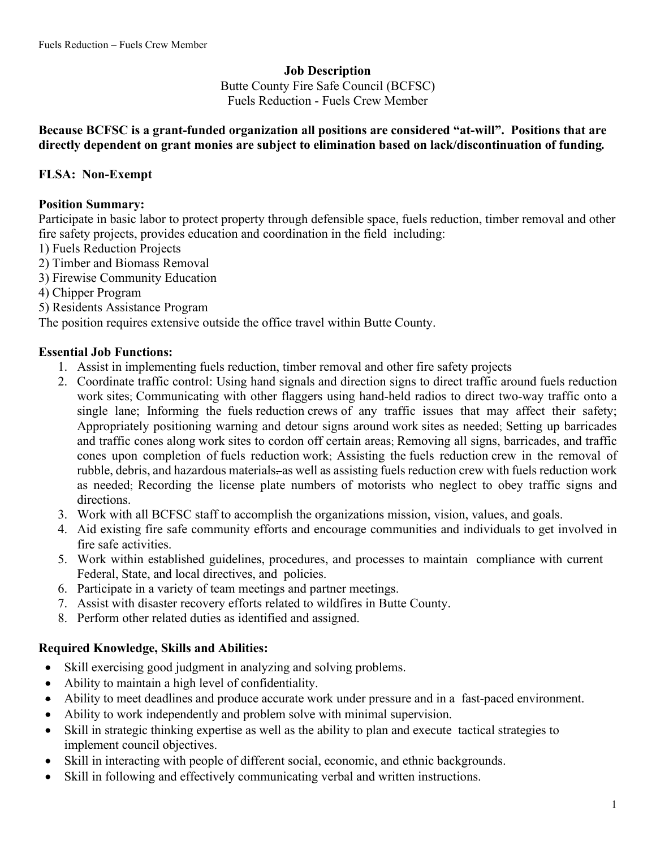#### **Job Description**

Butte County Fire Safe Council (BCFSC) Fuels Reduction - Fuels Crew Member

### **Because BCFSC is a grant-funded organization all positions are considered "at-will". Positions that are directly dependent on grant monies are subject to elimination based on lack/discontinuation of funding***.*

### **FLSA: Non-Exempt**

#### **Position Summary:**

Participate in basic labor to protect property through defensible space, fuels reduction, timber removal and other fire safety projects, provides education and coordination in the field including:

- 1) Fuels Reduction Projects
- 2) Timber and Biomass Removal
- 3) Firewise Community Education
- 4) Chipper Program
- 5) Residents Assistance Program

The position requires extensive outside the office travel within Butte County.

#### **Essential Job Functions:**

- 1. Assist in implementing fuels reduction, timber removal and other fire safety projects
- 2. Coordinate traffic control: Using hand signals and direction signs to direct traffic around fuels reduction work sites; Communicating with other flaggers using hand-held radios to direct two-way traffic onto a single lane; Informing the fuels reduction crews of any traffic issues that may affect their safety; Appropriately positioning warning and detour signs around work sites as needed; Setting up barricades and traffic cones along work sites to cordon off certain areas; Removing all signs, barricades, and traffic cones upon completion of fuels reduction work; Assisting the fuels reduction crew in the removal of rubble, debris, and hazardous materials-as well as assisting fuels reduction crew with fuels reduction work as needed; Recording the license plate numbers of motorists who neglect to obey traffic signs and directions.
- 3. Work with all BCFSC staff to accomplish the organizations mission, vision, values, and goals.
- 4. Aid existing fire safe community efforts and encourage communities and individuals to get involved in fire safe activities.
- 5. Work within established guidelines, procedures, and processes to maintain compliance with current Federal, State, and local directives, and policies.
- 6. Participate in a variety of team meetings and partner meetings.
- 7. Assist with disaster recovery efforts related to wildfires in Butte County.
- 8. Perform other related duties as identified and assigned.

#### **Required Knowledge, Skills and Abilities:**

- Skill exercising good judgment in analyzing and solving problems.
- Ability to maintain a high level of confidentiality.
- Ability to meet deadlines and produce accurate work under pressure and in a fast-paced environment.
- Ability to work independently and problem solve with minimal supervision.
- Skill in strategic thinking expertise as well as the ability to plan and execute tactical strategies to implement council objectives.
- Skill in interacting with people of different social, economic, and ethnic backgrounds.
- Skill in following and effectively communicating verbal and written instructions.